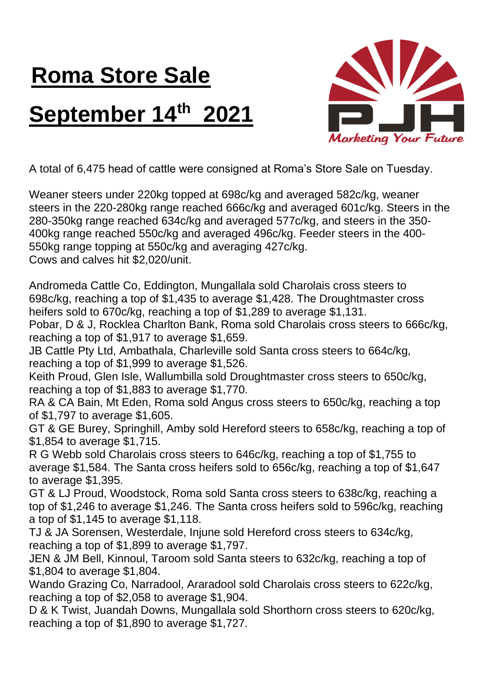## **Roma Store Sale September 14th 2021**



A total of 6,475 head of cattle were consigned at Roma's Store Sale on Tuesday.

Weaner steers under 220kg topped at 698c/kg and averaged 582c/kg, weaner steers in the 220-280kg range reached 666c/kg and averaged 601c/kg. Steers in the 280-350kg range reached 634c/kg and averaged 577c/kg, and steers in the 350- 400kg range reached 550c/kg and averaged 496c/kg. Feeder steers in the 400- 550kg range topping at 550c/kg and averaging 427c/kg. Cows and calves hit \$2,020/unit.

Andromeda Cattle Co, Eddington, Mungallala sold Charolais cross steers to 698c/kg, reaching a top of \$1,435 to average \$1,428. The Droughtmaster cross heifers sold to 670c/kg, reaching a top of \$1,289 to average \$1,131.

Pobar, D & J, Rocklea Charlton Bank, Roma sold Charolais cross steers to 666c/kg, reaching a top of \$1,917 to average \$1,659.

JB Cattle Pty Ltd, Ambathala, Charleville sold Santa cross steers to 664c/kg, reaching a top of \$1,999 to average \$1,526.

Keith Proud, Glen Isle, Wallumbilla sold Droughtmaster cross steers to 650c/kg, reaching a top of \$1,883 to average \$1,770.

RA & CA Bain, Mt Eden, Roma sold Angus cross steers to 650c/kg, reaching a top of \$1,797 to average \$1,605.

GT & GE Burey, Springhill, Amby sold Hereford steers to 658c/kg, reaching a top of \$1,854 to average \$1,715.

R G Webb sold Charolais cross steers to 646c/kg, reaching a top of \$1,755 to average \$1,584. The Santa cross heifers sold to 656c/kg, reaching a top of \$1,647 to average \$1,395.

GT & LJ Proud, Woodstock, Roma sold Santa cross steers to 638c/kg, reaching a top of \$1,246 to average \$1,246. The Santa cross heifers sold to 596c/kg, reaching a top of \$1,145 to average \$1,118.

TJ & JA Sorensen, Westerdale, Injune sold Hereford cross steers to 634c/kg, reaching a top of \$1,899 to average \$1,797.

JEN & JM Bell, Kinnoul, Taroom sold Santa steers to 632c/kg, reaching a top of \$1,804 to average \$1,804.

Wando Grazing Co, Narradool, Araradool sold Charolais cross steers to 622c/kg, reaching a top of \$2,058 to average \$1,904.

D & K Twist, Juandah Downs, Mungallala sold Shorthorn cross steers to 620c/kg, reaching a top of \$1,890 to average \$1,727.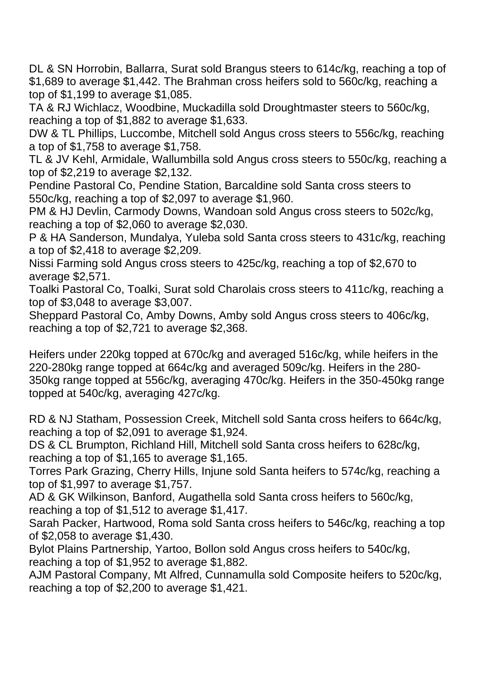DL & SN Horrobin, Ballarra, Surat sold Brangus steers to 614c/kg, reaching a top of \$1,689 to average \$1,442. The Brahman cross heifers sold to 560c/kg, reaching a top of \$1,199 to average \$1,085.

TA & RJ Wichlacz, Woodbine, Muckadilla sold Droughtmaster steers to 560c/kg, reaching a top of \$1,882 to average \$1,633.

DW & TL Phillips, Luccombe, Mitchell sold Angus cross steers to 556c/kg, reaching a top of \$1,758 to average \$1,758.

TL & JV Kehl, Armidale, Wallumbilla sold Angus cross steers to 550c/kg, reaching a top of \$2,219 to average \$2,132.

Pendine Pastoral Co, Pendine Station, Barcaldine sold Santa cross steers to 550c/kg, reaching a top of \$2,097 to average \$1,960.

PM & HJ Devlin, Carmody Downs, Wandoan sold Angus cross steers to 502c/kg, reaching a top of \$2,060 to average \$2,030.

P & HA Sanderson, Mundalya, Yuleba sold Santa cross steers to 431c/kg, reaching a top of \$2,418 to average \$2,209.

Nissi Farming sold Angus cross steers to 425c/kg, reaching a top of \$2,670 to average \$2,571.

Toalki Pastoral Co, Toalki, Surat sold Charolais cross steers to 411c/kg, reaching a top of \$3,048 to average \$3,007.

Sheppard Pastoral Co, Amby Downs, Amby sold Angus cross steers to 406c/kg, reaching a top of \$2,721 to average \$2,368.

Heifers under 220kg topped at 670c/kg and averaged 516c/kg, while heifers in the 220-280kg range topped at 664c/kg and averaged 509c/kg. Heifers in the 280- 350kg range topped at 556c/kg, averaging 470c/kg. Heifers in the 350-450kg range topped at 540c/kg, averaging 427c/kg.

RD & NJ Statham, Possession Creek, Mitchell sold Santa cross heifers to 664c/kg, reaching a top of \$2,091 to average \$1,924.

DS & CL Brumpton, Richland Hill, Mitchell sold Santa cross heifers to 628c/kg, reaching a top of \$1,165 to average \$1,165.

Torres Park Grazing, Cherry Hills, Injune sold Santa heifers to 574c/kg, reaching a top of \$1,997 to average \$1,757.

AD & GK Wilkinson, Banford, Augathella sold Santa cross heifers to 560c/kg, reaching a top of \$1,512 to average \$1,417.

Sarah Packer, Hartwood, Roma sold Santa cross heifers to 546c/kg, reaching a top of \$2,058 to average \$1,430.

Bylot Plains Partnership, Yartoo, Bollon sold Angus cross heifers to 540c/kg, reaching a top of \$1,952 to average \$1,882.

AJM Pastoral Company, Mt Alfred, Cunnamulla sold Composite heifers to 520c/kg, reaching a top of \$2,200 to average \$1,421.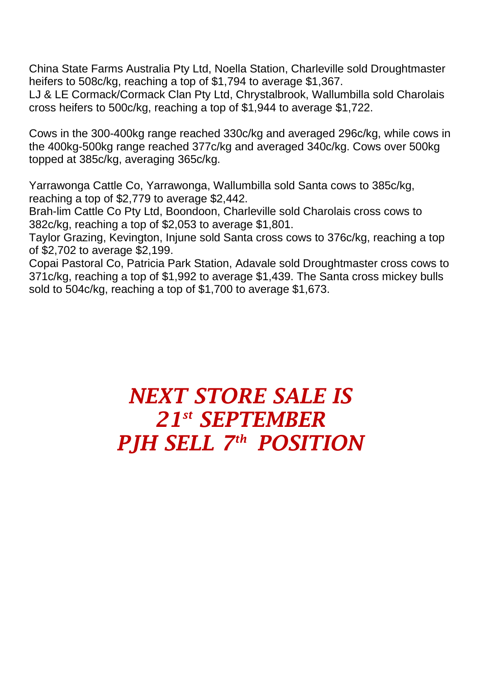China State Farms Australia Pty Ltd, Noella Station, Charleville sold Droughtmaster heifers to 508c/kg, reaching a top of \$1,794 to average \$1,367.

LJ & LE Cormack/Cormack Clan Pty Ltd, Chrystalbrook, Wallumbilla sold Charolais cross heifers to 500c/kg, reaching a top of \$1,944 to average \$1,722.

Cows in the 300-400kg range reached 330c/kg and averaged 296c/kg, while cows in the 400kg-500kg range reached 377c/kg and averaged 340c/kg. Cows over 500kg topped at 385c/kg, averaging 365c/kg.

Yarrawonga Cattle Co, Yarrawonga, Wallumbilla sold Santa cows to 385c/kg, reaching a top of \$2,779 to average \$2,442.

Brah-lim Cattle Co Pty Ltd, Boondoon, Charleville sold Charolais cross cows to 382c/kg, reaching a top of \$2,053 to average \$1,801.

Taylor Grazing, Kevington, Injune sold Santa cross cows to 376c/kg, reaching a top of \$2,702 to average \$2,199.

Copai Pastoral Co, Patricia Park Station, Adavale sold Droughtmaster cross cows to 371c/kg, reaching a top of \$1,992 to average \$1,439. The Santa cross mickey bulls sold to 504c/kg, reaching a top of \$1,700 to average \$1,673.

## *NEXT STORE SALE IS 21 st SEPTEMBER PJH SELL 7 th POSITION*